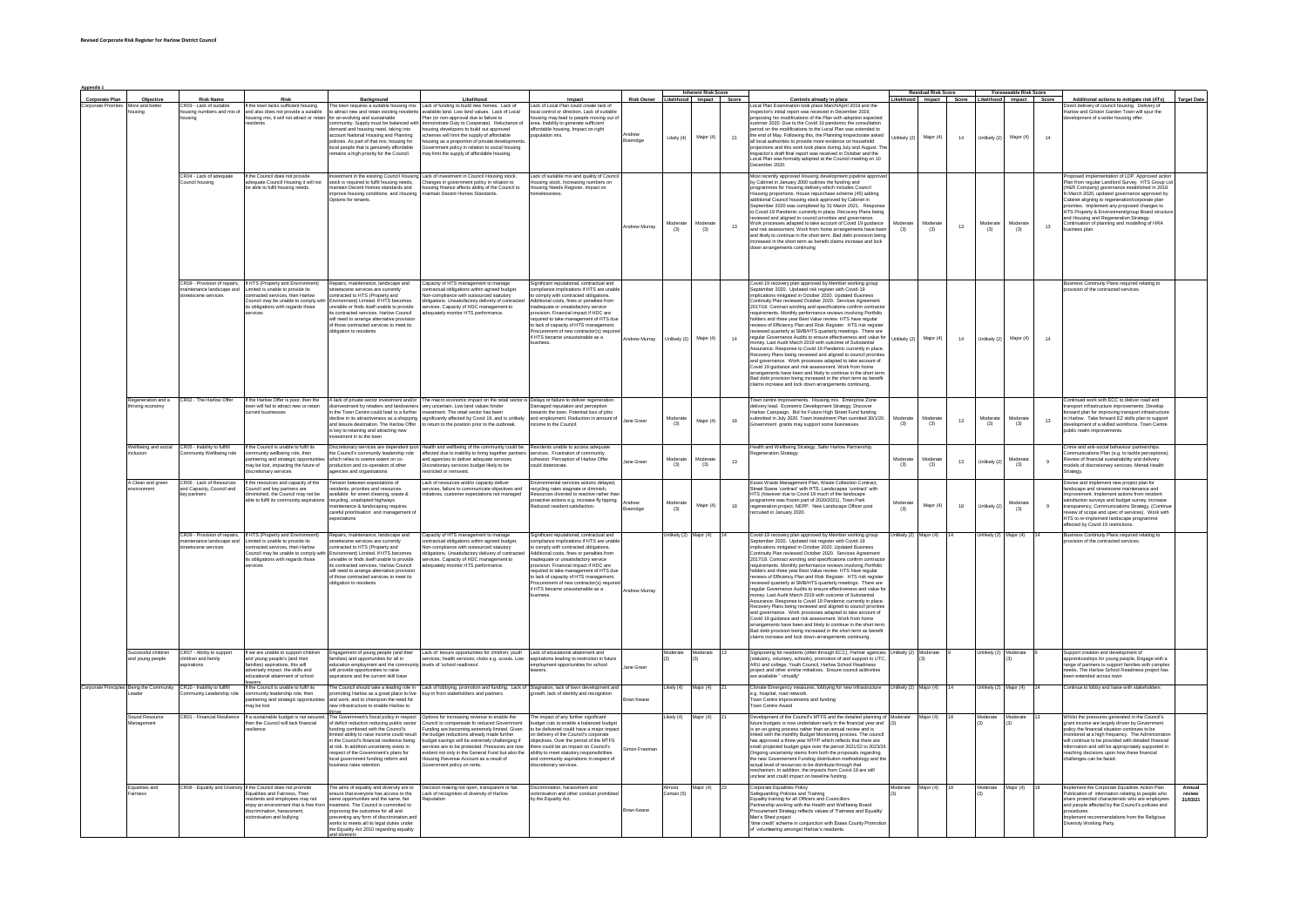| Appendix 1                               |                                   |                                                      |                                                                                                              |                                                                                                                                 |                                                                                                                                      |                                                                                     | <b>Inherent Risk Score</b> |                |                         |    |                                                                                                                                                                                              |                       | <b>Residual Risk Score</b><br>Foreseeable Risk Score |    |                        |                |          |                                                                                                                                                        |                    |
|------------------------------------------|-----------------------------------|------------------------------------------------------|--------------------------------------------------------------------------------------------------------------|---------------------------------------------------------------------------------------------------------------------------------|--------------------------------------------------------------------------------------------------------------------------------------|-------------------------------------------------------------------------------------|----------------------------|----------------|-------------------------|----|----------------------------------------------------------------------------------------------------------------------------------------------------------------------------------------------|-----------------------|------------------------------------------------------|----|------------------------|----------------|----------|--------------------------------------------------------------------------------------------------------------------------------------------------------|--------------------|
| Corporate Plan                           | Objective                         | <b>Risk Name</b>                                     | Risk                                                                                                         | Background                                                                                                                      | Likelihood                                                                                                                           | Impact                                                                              | <b>Risk Owner</b>          |                | Likelihood Impact Score |    | Controls already in place                                                                                                                                                                    |                       | Likelihood Impact Score Likelihood Impact Score      |    |                        |                |          | Additional actions to mitigate risk (4Ts)                                                                                                              | <b>Target Date</b> |
| Corporate Priorities                     | More and better                   | CR03 - Lack of suitable                              | If the town lacks sufficient housing                                                                         | The town requires a suitable housing mix                                                                                        | Lack of funding to build new homes. Lack of                                                                                          | Lack of Local Plan could create lack of                                             |                            |                |                         |    | Local Plan Examination took place March/April 2019 and the                                                                                                                                   |                       |                                                      |    |                        |                |          | Direct delivery of council housing. Delivery of                                                                                                        |                    |
|                                          |                                   | using numbers and mix of                             | ind also does not provide a suitable<br>sing mix, it will not attract or reta                                | attract new and retain existing resider<br>r an evolving and sustainable                                                        | ailable land. Low land values. Lack of Local<br>ral due to failure to                                                                | local control or direction. Lack of suitable                                        |                            |                |                         |    | ector's initial report was received in December 2019.<br>is of the Plan with adoption expects                                                                                                |                       |                                                      |    |                        |                |          | farlow and Gilston Garden Town will sour the<br>nent of a wider housing offer                                                                          |                    |
|                                          |                                   |                                                      |                                                                                                              | mmunity. Supply must be balanced w                                                                                              | emonstrate Duty to Cooperate). Reluctance o                                                                                          | housing may lead to people moving out of area. Inability to generate sufficient     |                            |                |                         |    | mmer 2020. Due to the Covid 19 pandemic the consultation                                                                                                                                     |                       |                                                      |    |                        |                |          |                                                                                                                                                        |                    |
|                                          |                                   |                                                      |                                                                                                              | Semand and housing need, taking into<br>account National Housing and Planning                                                   | ousing developers to build out approved<br>emes will limit the supply of affordable                                                  | affordable housing. Impact on right                                                 |                            |                |                         |    | eriod on the modifications to the Local Plan was extended to<br>the end of May. Following this, the Planning Inspectorate asked                                                              |                       |                                                      |    |                        |                |          |                                                                                                                                                        |                    |
|                                          |                                   |                                                      |                                                                                                              | odicies. As part of that mix, housing for                                                                                       | using as a proportion of private developmen                                                                                          | ulation mix                                                                         | ındrew<br>Iramidge         | Likely (4)     | Major (4)               | 21 | all local authorities to provide more evidence on household                                                                                                                                  | hlikely (2)           | Major (4)                                            | 14 | Unlikely (2)           | Major (4)      | 14       |                                                                                                                                                        |                    |
|                                          |                                   |                                                      |                                                                                                              | ocal people that is genuinely affordable                                                                                        | mment policy in relation to social housing                                                                                           |                                                                                     |                            |                |                         |    | iections and this work took place during July and August. Th                                                                                                                                 |                       |                                                      |    |                        |                |          |                                                                                                                                                        |                    |
|                                          |                                   |                                                      |                                                                                                              | emains a high priority for the Council.                                                                                         | ay limit the supply of affordable housing.                                                                                           |                                                                                     |                            |                |                         |    | Inspector's draft final report was received in October and the<br>Local Plan was formally adopted at the Council meeting on 10                                                               |                       |                                                      |    |                        |                |          |                                                                                                                                                        |                    |
|                                          |                                   |                                                      |                                                                                                              |                                                                                                                                 |                                                                                                                                      |                                                                                     |                            |                |                         |    | ember 2020.                                                                                                                                                                                  |                       |                                                      |    |                        |                |          |                                                                                                                                                        |                    |
|                                          |                                   | CR04 - Lack of adequate                              | If the Council does not provide                                                                              | nvestment in the existing Council Housing                                                                                       | Lack of investment in Council Housing stock.                                                                                         | Lack of suitable mix and quality of Council                                         |                            |                |                         |    | Most recently approved Housing development pipeline approv                                                                                                                                   |                       |                                                      |    |                        |                |          | Proposed implementation of LDP. Approved action                                                                                                        |                    |
|                                          |                                   | quncil housing                                       | dequate Council Housing it will not                                                                          | stock is required to fulfil housing needs.                                                                                      | hanges in government policy in relation to                                                                                           | pusing stock, Increasing numbers on                                                 |                            |                |                         |    | by Cabinet in January 2000 outlines the funding and                                                                                                                                          |                       |                                                      |    |                        |                |          | Plan from regular Landlord Survey. HTS Group Ltd                                                                                                       |                    |
|                                          |                                   |                                                      | able to fulfil housing needs.                                                                                | aintain Decent Homes standards and                                                                                              | ousing finance affects ability of the Council to                                                                                     | sing Needs Register. impact on                                                      |                            |                |                         |    | rogrammes for Housing delivery which includes Council                                                                                                                                        |                       |                                                      |    |                        |                |          | (H&R Company) governance established in 2018.                                                                                                          |                    |
|                                          |                                   |                                                      |                                                                                                              | improve housing conditions and Housing<br>Intigns for tenants                                                                   | naintain Decent Homes Standards.                                                                                                     | Aleganes                                                                            |                            |                |                         |    | Housing proportions. House repurchase scheme (45) adding                                                                                                                                     |                       |                                                      |    |                        |                |          | In March 2020, updated governance approved by                                                                                                          |                    |
|                                          |                                   |                                                      |                                                                                                              |                                                                                                                                 |                                                                                                                                      |                                                                                     |                            |                |                         |    | additional Council housing stock approved by Cabinet in<br>September 2020 was completed by 31 March 2021. Respons                                                                            |                       |                                                      |    |                        |                |          | Cabinet aligning to regeneration/corporate plan<br>priorities. Implement any proposed changes to<br>HTS Property & Environment/group Board structure   |                    |
|                                          |                                   |                                                      |                                                                                                              |                                                                                                                                 |                                                                                                                                      |                                                                                     |                            |                |                         |    | o Covid-19 Pandemic currently in place. Recovery Plans being                                                                                                                                 |                       |                                                      |    |                        |                |          |                                                                                                                                                        |                    |
|                                          |                                   |                                                      |                                                                                                              |                                                                                                                                 |                                                                                                                                      |                                                                                     | Andrew Murray              |                | Moderat                 | 13 | reviewed and aligned to council priorities and governance.<br>Work processes adapted to take account of Covid 19 guidance                                                                    | Moderate              | Moderat                                              | 13 | Aoderat                |                | 13       | and Housing and Regeneration Strategy.<br>Continuation of planning and modelling of HRA                                                                |                    |
|                                          |                                   |                                                      |                                                                                                              |                                                                                                                                 |                                                                                                                                      |                                                                                     |                            | (3)            | (3)                     |    | and risk assessment. Work from home arrangements have bee<br>and likely to continue in the short term. Bad debt provision beir                                                               | (3)                   | (3)                                                  |    | (3)                    | (3)            |          | usiness plan.                                                                                                                                          |                    |
|                                          |                                   |                                                      |                                                                                                              |                                                                                                                                 |                                                                                                                                      |                                                                                     |                            |                |                         |    | creased in the short term as benefit claims increase and lock                                                                                                                                |                       |                                                      |    |                        |                |          |                                                                                                                                                        |                    |
|                                          |                                   |                                                      |                                                                                                              |                                                                                                                                 |                                                                                                                                      |                                                                                     |                            |                |                         |    | wn arrangements continuing                                                                                                                                                                   |                       |                                                      |    |                        |                |          |                                                                                                                                                        |                    |
|                                          |                                   |                                                      |                                                                                                              |                                                                                                                                 |                                                                                                                                      |                                                                                     |                            |                |                         |    |                                                                                                                                                                                              |                       |                                                      |    |                        |                |          |                                                                                                                                                        |                    |
|                                          |                                   |                                                      |                                                                                                              |                                                                                                                                 |                                                                                                                                      |                                                                                     |                            |                |                         |    |                                                                                                                                                                                              |                       |                                                      |    |                        |                |          |                                                                                                                                                        |                    |
|                                          |                                   |                                                      |                                                                                                              |                                                                                                                                 |                                                                                                                                      |                                                                                     |                            |                |                         |    |                                                                                                                                                                                              |                       |                                                      |    |                        |                |          |                                                                                                                                                        |                    |
|                                          |                                   | CR09 - Provision of repairs                          | If HTS (Property and Environment                                                                             | Repairs, maintenance, landscape and                                                                                             |                                                                                                                                      | nificant reputational contractual and                                               |                            |                |                         |    |                                                                                                                                                                                              |                       |                                                      |    |                        |                |          |                                                                                                                                                        |                    |
|                                          |                                   | naintenance landscape and                            | imited is unable to provide its                                                                              | treetscene services are currently                                                                                               | .<br>Capacity of HTS management to manage<br>contractual obligations within agreed budget                                            | mpliance implications if HTS are unable                                             |                            |                |                         |    | Covid-19 recovery plan approved by Member working grou<br>September 2020. Updated risk register with Covid-19                                                                                |                       |                                                      |    |                        |                |          | usiness Continuity Plans required relating to<br>rovision of the contracted services.                                                                  |                    |
|                                          |                                   | treetscene services                                  | contracted services, then Harlow                                                                             | contracted to HTS (Property and                                                                                                 | on-compliance with outsourced statutory                                                                                              | o comply with contracted obligations.                                               |                            |                |                         |    | implications mitigated in October 2020. Updated Business<br>tinuity Plan reviewed October 2020. Services Agreemen                                                                            |                       |                                                      |    |                        |                |          |                                                                                                                                                        |                    |
|                                          |                                   |                                                      | uncil may be unable to comply wi<br>its obligations with regards those                                       | Environment) Limited. If HTS becomes<br>Environment) Limited. If HTS becomes<br>unviable or finds itself unable to provide      | Sigations. Unsatisfactory delivery of contracts<br>higations. Unsatisfactory delivery of contracts                                   | litional costs, fines or penalties from<br>adequate or unsatisfactory service       |                            |                |                         |    | 2017/18. Contract wording and specifications confirm contractor                                                                                                                              |                       |                                                      |    |                        |                |          |                                                                                                                                                        |                    |
|                                          |                                   |                                                      | ervices                                                                                                      | ts contracted services. Harlow Council                                                                                          | equately monitor HTS performance.                                                                                                    | vision. Financial impact if HDC are                                                 |                            |                |                         |    | equirements. Monthly performance reviews involving Portfolio                                                                                                                                 |                       |                                                      |    |                        |                |          |                                                                                                                                                        |                    |
|                                          |                                   |                                                      |                                                                                                              | vill need to arrange alternative provision<br>of those contracted services to meet its                                          |                                                                                                                                      | required to take management of HTS due<br>to lack of capacity of HTS management.    |                            |                |                         |    | olders and three year Best Value review. HTS have regular<br>reviews of Efficiency Plan and Risk Register. HTS risk registe                                                                  |                       |                                                      |    |                        |                |          |                                                                                                                                                        |                    |
|                                          |                                   |                                                      |                                                                                                              | bligation to residents                                                                                                          |                                                                                                                                      | Procurement of new contractor(s) require                                            |                            |                |                         |    | iewed quarterly at SMB/HTS quarterly meetings. There are                                                                                                                                     |                       |                                                      |    |                        |                |          |                                                                                                                                                        |                    |
|                                          |                                   |                                                      |                                                                                                              |                                                                                                                                 |                                                                                                                                      | if HTS became unsustainable as a                                                    | drew Murray                | Unlikely (2)   | Major (4)               | 14 | regular Governance Audits to ensure effectiveness and value for                                                                                                                              | Jnlikely (2)          | Major (4)                                            | 14 | Unlikely (2)           | Major (4)      | 14       |                                                                                                                                                        |                    |
|                                          |                                   |                                                      |                                                                                                              |                                                                                                                                 |                                                                                                                                      | tinees                                                                              |                            |                |                         |    | noney. Last Audit March 2019 with outcome of Substantial<br>Assurance. Response to Covid 19 Pandemic currently in place                                                                      |                       |                                                      |    |                        |                |          |                                                                                                                                                        |                    |
|                                          |                                   |                                                      |                                                                                                              |                                                                                                                                 |                                                                                                                                      |                                                                                     |                            |                |                         |    | ecovery Plans being reviewed and aligned to council prioritie                                                                                                                                |                       |                                                      |    |                        |                |          |                                                                                                                                                        |                    |
|                                          |                                   |                                                      |                                                                                                              |                                                                                                                                 |                                                                                                                                      |                                                                                     |                            |                |                         |    | and governance. Work processes adapted to take account of                                                                                                                                    |                       |                                                      |    |                        |                |          |                                                                                                                                                        |                    |
|                                          |                                   |                                                      |                                                                                                              |                                                                                                                                 |                                                                                                                                      |                                                                                     |                            |                |                         |    | Covid 19 guidance and risk assessment. Work from home<br>arrangements have been and likely to continue in the short terr                                                                     |                       |                                                      |    |                        |                |          |                                                                                                                                                        |                    |
|                                          |                                   |                                                      |                                                                                                              |                                                                                                                                 |                                                                                                                                      |                                                                                     |                            |                |                         |    | Bad debt provision being increased in the short term as benefit                                                                                                                              |                       |                                                      |    |                        |                |          |                                                                                                                                                        |                    |
|                                          |                                   |                                                      |                                                                                                              |                                                                                                                                 |                                                                                                                                      |                                                                                     |                            |                |                         |    | ns increase and lock down arrangements continuing.                                                                                                                                           |                       |                                                      |    |                        |                |          |                                                                                                                                                        |                    |
|                                          |                                   |                                                      |                                                                                                              |                                                                                                                                 |                                                                                                                                      |                                                                                     |                            |                |                         |    |                                                                                                                                                                                              |                       |                                                      |    |                        |                |          |                                                                                                                                                        |                    |
|                                          | Regeneration and a<br>ving econom | CR02 - The Harlow Offer                              | If the Harlow Offer is poor, then the<br>wn will fail to attract new or retain                               | A lack of private sector investment and/or<br>nent by retailers and landowne                                                    | The macro economic impact on the retail sector is Delays or failure to deliver regeneration<br>erv uncertain. Low land values hinder | Damaged reputation and perception                                                   |                            |                |                         |    | Fown centre improvements. Housing mix. Enterprise Zone                                                                                                                                       |                       |                                                      |    |                        |                |          | Continued work with ECC to deliver road and<br>ransport infrastructure improvements. Develop                                                           |                    |
|                                          |                                   |                                                      | urrent businesses                                                                                            | the Town Centre could lead to a furthe                                                                                          | ment. The retail sector has bee                                                                                                      | ards the town. Potential loss of jobs                                               |                            |                |                         |    | Selivery lead. Economic Development Strategy. Discover<br>Harlow Campaign. Bid for Future High Street Fund fundin                                                                            |                       |                                                      |    |                        |                |          | nansport innasaucune improvements. Develop<br>forward plan for improving transport infrastructure<br>in Harlow. Take forward EZ skills plan to support |                    |
|                                          |                                   |                                                      |                                                                                                              | ecline in its attractiveness as a shopping                                                                                      | ignificantly affected by Covid 19, and is unlikely and employment. Reduction in amount of                                            | ome to the Council.                                                                 | lane Gree                  | Moderat<br>(3) | Major (4)               | 18 | submitted in July 2020. Town Investment Plan sumitted 30/1/20                                                                                                                                | Moderate<br>(3)       | Moderat<br>(3)                                       | 13 | Aoderate<br>(3)        | (3)            | 13       | velopment of a skilled workforce. Town Centre                                                                                                          |                    |
|                                          |                                   |                                                      |                                                                                                              | and leisure destination. The Harlow Offe<br>s key to retaining and attracting new                                               | turn to the position prior to the outbreak                                                                                           |                                                                                     |                            |                |                         |    | mment grants may support some businesses                                                                                                                                                     |                       |                                                      |    |                        |                |          | iblic realm improvements                                                                                                                               |                    |
|                                          |                                   |                                                      |                                                                                                              | vestment in to the town                                                                                                         |                                                                                                                                      |                                                                                     |                            |                |                         |    |                                                                                                                                                                                              |                       |                                                      |    |                        |                |          |                                                                                                                                                        |                    |
|                                          | Vellbeing and social              | CR05 - Inability to fulfill                          | If the Council is unable to fulfil its                                                                       | iscretionary services are dependent ipo                                                                                         | ealth and wellbeing of the community could be Residents unable to access adequat                                                     |                                                                                     |                            |                |                         |    | lealth and Wellbeing Strategy, Safer Harlow Partnership                                                                                                                                      |                       |                                                      |    |                        |                |          | Crime and anti-social behaviour partnerships                                                                                                           |                    |
|                                          |                                   | nmunity Wellbeing role                               | mmunity wellbeing role, then                                                                                 | the Council's community leadership role                                                                                         | fected due to inability to bring together partners services. Frustration of community                                                |                                                                                     |                            |                |                         |    | generation Strategy                                                                                                                                                                          |                       |                                                      |    |                        |                |          | ommunications Plan (e.g. to tackle perceptions)                                                                                                        |                    |
|                                          |                                   |                                                      | arimumy wellbeing role, user<br>artnering and strategic opportunitis<br>hay be lost, impacting the future of | which relies to soeme extent on co-                                                                                             | ind agencies to deliver adequate services                                                                                            | cohesion. Perception of Harlow Offer                                                | <b>Jane Green</b>          | Moderat<br>(3) | Modera<br>(3)           | 13 |                                                                                                                                                                                              | Moderate<br>(3)       | Moderat<br>(3)                                       | 13 | Unlikely (2            | Aoderat<br>(3) | $\theta$ | Review of financial sustainability and delivery<br>models of discretionary services. Mental Health                                                     |                    |
|                                          |                                   |                                                      | scretionary services                                                                                         | oduction and co-operation of other<br>gencies and organisations                                                                 | etionary services budget likely to be<br>stricted or removed.                                                                        |                                                                                     |                            |                |                         |    |                                                                                                                                                                                              |                       |                                                      |    |                        |                |          | Strategy.                                                                                                                                              |                    |
|                                          |                                   |                                                      |                                                                                                              |                                                                                                                                 |                                                                                                                                      |                                                                                     |                            |                |                         |    |                                                                                                                                                                                              |                       |                                                      |    |                        |                |          |                                                                                                                                                        |                    |
|                                          | A Clean and gree                  | CR06 - Lack of Resource<br>and Capacity, Council and | the resources and capacity of the<br>Council and key partners are                                            | Fension between expectations of<br>ssidents, priorities and resources                                                           | ack of resources and/or capacity delive<br>ervices, failure to communicate objectives and                                            | Environmental services actions delayed<br>recycling rates stagnate or diminish,     |                            |                |                         |    | Essex Waste Management Plan, Waste Collection Contrac<br>Street Scene 'contract' with HTS, Landscapes 'contract' with                                                                        |                       |                                                      |    |                        |                |          | Devise and implement new project plan for<br>landscape and streetscene maintenance and                                                                 |                    |
|                                          |                                   | ev partners                                          | minished, the Council may not be                                                                             | available for street cleaning, waste &                                                                                          | itiatives, customer expectations not managed                                                                                         | Resources diverted to reactive rather than                                          |                            |                |                         |    | HTS (however due to Covid 19 much of the landscape                                                                                                                                           |                       |                                                      |    |                        |                |          | nprovement. Implement actions from resident                                                                                                            |                    |
|                                          |                                   |                                                      | le to fulfil its community aspiration                                                                        | recycling, unadopted highways<br>aintenance & landscaping requires                                                              |                                                                                                                                      | proactive actions e.g. increase fly tipping.<br>Reduced resident satisfaction.      |                            |                | Major (4                | 18 | orogramme was frozen part of 2020/2021), Town Park<br>regeneration project. NEPP. New Landscape Officer post                                                                                 | Moderate              | Major (                                              | 18 | nlikely (2             |                |          | satisfaction surveys and budget survey, increase<br>transparency. Communications Strategy. (Continue                                                   |                    |
|                                          |                                   |                                                      |                                                                                                              | careful prioritisation and management of                                                                                        |                                                                                                                                      |                                                                                     | amidge                     | (3)            |                         |    | nuited in January 2020.                                                                                                                                                                      | (3)                   |                                                      |    |                        | (3)            |          | iew of scope and spec of services). Work with                                                                                                          |                    |
|                                          |                                   |                                                      |                                                                                                              |                                                                                                                                 |                                                                                                                                      |                                                                                     |                            |                |                         |    |                                                                                                                                                                                              |                       |                                                      |    |                        |                |          | HTS to re-implement landscape programme                                                                                                                |                    |
|                                          |                                   |                                                      |                                                                                                              |                                                                                                                                 |                                                                                                                                      |                                                                                     |                            |                |                         |    |                                                                                                                                                                                              |                       |                                                      |    |                        |                |          | affected by Covid-19 restrictions.                                                                                                                     |                    |
|                                          |                                   | CR09 - Provision of repairs,                         | If HTS (Property and Environment)                                                                            | Repairs, maintenance, landscape and                                                                                             | apacity of HTS management to manage                                                                                                  | Significant reputational, contractual and                                           |                            | Jniikely (2)   | Major (4)               |    | Covid-19 recovery plan approved by Member working group                                                                                                                                      | Inlikely (2           | lajor (4)                                            |    | Jnlikely (2)           | Major (4)      |          | Business Continuity Plans required relating to                                                                                                         |                    |
|                                          |                                   | maintenance landscape and<br>eetscene services       | imited is unable to provide its<br>contracted services, then Harlow                                          | streetscene services are currently<br>ontracted to HTS (Property and                                                            | intractual obligations within agreed budget.<br>on-compliance with outsourced statutory                                              | npliance implications if HTS are unable<br>to comply with contracted obligations.   |                            |                |                         |    | September 2020. Updated risk register with Covid-19<br>implications mitigated in October 2020. Updated Business                                                                              |                       |                                                      |    |                        |                |          | wision of the contracted services.                                                                                                                     |                    |
|                                          |                                   |                                                      | ouncil may be unable to comply wit                                                                           | nvironment) Limited. If HTS becomes                                                                                             | igations. Unsatisfactory delivery of contracte                                                                                       | Additional costs, fines or penalties from                                           |                            |                |                         |    | Intinuity Plan reviewed October 2020. Services Agreement                                                                                                                                     |                       |                                                      |    |                        |                |          |                                                                                                                                                        |                    |
|                                          |                                   |                                                      | its obligations with regards those<br>néné                                                                   | unviable or finds itself unable to provide<br>s contracted services. Harlow Council                                             | ervices. Capacity of HDC management to<br>quately monitor HTS perform:                                                               | inadequate or unsatisfactory service<br>wision. Financial impact if HDC are         |                            |                |                         |    | 2017/18. Contract wording and specifications confirm contracto<br>equirements. Monthly performance reviews involving Portfolio                                                               |                       |                                                      |    |                        |                |          |                                                                                                                                                        |                    |
|                                          |                                   |                                                      |                                                                                                              | ill need to arrange alternative provision                                                                                       |                                                                                                                                      | required to take management of HTS due                                              |                            |                |                         |    | holders and three year Best Value review. HTS have regular                                                                                                                                   |                       |                                                      |    |                        |                |          |                                                                                                                                                        |                    |
|                                          |                                   |                                                      |                                                                                                              | of those contracted services to meet its                                                                                        |                                                                                                                                      | to lack of capacity of HTS management.                                              |                            |                |                         |    | reviews of Efficiency Plan and Risk Register. HTS risk registe                                                                                                                               |                       |                                                      |    |                        |                |          |                                                                                                                                                        |                    |
|                                          |                                   |                                                      |                                                                                                              | bligation to residents                                                                                                          |                                                                                                                                      | rocurement of new contractor(s) require<br>if HTS became unsustainable as a         |                            |                |                         |    | riewed quarterly at SMB/HTS quarterly meetings. There are<br>regular Governance Audits to ensure effectiveness and value for                                                                 |                       |                                                      |    |                        |                |          |                                                                                                                                                        |                    |
|                                          |                                   |                                                      |                                                                                                              |                                                                                                                                 |                                                                                                                                      | sinees                                                                              | Andrew Murray              |                |                         |    | oney, Last Audit March 2019 with outcome of Substantial                                                                                                                                      |                       |                                                      |    |                        |                |          |                                                                                                                                                        |                    |
|                                          |                                   |                                                      |                                                                                                              |                                                                                                                                 |                                                                                                                                      |                                                                                     |                            |                |                         |    | Assurance. Response to Covid 19 Pandemic currently in place                                                                                                                                  |                       |                                                      |    |                        |                |          |                                                                                                                                                        |                    |
|                                          |                                   |                                                      |                                                                                                              |                                                                                                                                 |                                                                                                                                      |                                                                                     |                            |                |                         |    | Recovery Plans being reviewed and aligned to council priorities<br>and novemance. Work processes adapted to take account of                                                                  |                       |                                                      |    |                        |                |          |                                                                                                                                                        |                    |
|                                          |                                   |                                                      |                                                                                                              |                                                                                                                                 |                                                                                                                                      |                                                                                     |                            |                |                         |    | Covid 19 guidance and risk assessment. Work from home                                                                                                                                        |                       |                                                      |    |                        |                |          |                                                                                                                                                        |                    |
|                                          |                                   |                                                      |                                                                                                              |                                                                                                                                 |                                                                                                                                      |                                                                                     |                            |                |                         |    | arrangements have been and likely to continue in the short terr<br>Bad debt provision being increased in the short term as benefit                                                           |                       |                                                      |    |                        |                |          |                                                                                                                                                        |                    |
|                                          |                                   |                                                      |                                                                                                              |                                                                                                                                 |                                                                                                                                      |                                                                                     |                            |                |                         |    | ims increase and lock down arrangements continuing.                                                                                                                                          |                       |                                                      |    |                        |                |          |                                                                                                                                                        |                    |
|                                          |                                   |                                                      |                                                                                                              |                                                                                                                                 |                                                                                                                                      |                                                                                     |                            |                |                         |    |                                                                                                                                                                                              |                       |                                                      |    |                        |                |          |                                                                                                                                                        |                    |
|                                          | uccessful childre                 | R07 - Ability to support                             | If we are unable to support children                                                                         | Engagement of young people (and their                                                                                           | ack of: leisure opportunities for children: youth                                                                                    | Lack of educational attainment and                                                  |                            | Moderate       | Moderate                |    | Signposting for residents (often through ECC). Partner agencies                                                                                                                              | Unlikely (2) Moderate |                                                      |    | Unlikely (2) Moderate  |                |          | Support creation and development of                                                                                                                    |                    |
|                                          | nd young people                   | hildren and family<br>irations                       | and young people's (and their<br>amilies) aspirations, this will                                             | milies) and opportunities for all in<br>ducation employment and the commilies                                                   | vices; health services; clubs e.g. scouts. Low<br>els of 'school readiness                                                           | aspirations leading to restriction in future<br>employment opportunities for school |                            |                |                         |    | (statutory, voluntary, schools), promotion of and support to UTC<br>ARU and college, Youth Council, Harlow School Readiness                                                                  |                       |                                                      |    |                        |                |          | oupport creation and development of<br>apprenticeships for young people, Engage with a<br>range of partners to support families with complex           |                    |
|                                          |                                   |                                                      | dverselv impact the skills and                                                                               | will provide opportunities to raise                                                                                             |                                                                                                                                      | vers                                                                                | ne Gree                    |                |                         |    | project and other similar initiatives. Ensure council actibyities                                                                                                                            |                       |                                                      |    |                        |                |          | reeds, The Harlow School Readiness project has                                                                                                         |                    |
|                                          |                                   |                                                      | ducational atta<br>nent of schoo                                                                             | stions and the current skill bas                                                                                                |                                                                                                                                      |                                                                                     |                            |                |                         |    | available " virtually"                                                                                                                                                                       |                       |                                                      |    |                        |                |          | en extended across tow                                                                                                                                 |                    |
| Corporate Principles Being the Community |                                   | CR10 - Inability to fullfill                         | If the Council is unable to fulfil its                                                                       | The Council should take a leading role in                                                                                       | Lack of lobbying, promotion and funding. Lack of Stagnation, lack of town development and                                            |                                                                                     |                            | ikely (4)      | Maior (4)               |    | Climate Emergency measures, lobbying for new infrastructure                                                                                                                                  | Unlikely (2)          | Major (4)                                            |    | Unlikely (2) Major (4) |                |          | Continue to lobby and liaise with stakeholders                                                                                                         |                    |
|                                          |                                   |                                                      | nmunity leadership role, then<br>artnering and strategic opportunit                                          | promoting Harlow as a great place to live<br>and work, and to champion the need for                                             | v-in from stakeholders and partners                                                                                                  | with, lack of identity and recognition                                              | ian Kean                   |                |                         |    | .a. hospital, road network.<br>wn Centre Improvements and funding                                                                                                                            |                       |                                                      |    |                        |                |          |                                                                                                                                                        |                    |
|                                          |                                   |                                                      | hav be lost                                                                                                  | ew infrastructure to enable Harlow to                                                                                           |                                                                                                                                      |                                                                                     |                            |                |                         |    | own Centre Award                                                                                                                                                                             |                       |                                                      |    |                        |                |          |                                                                                                                                                        |                    |
|                                          |                                   | <b>CR01 - Financial Resilien</b>                     | a sustainable budget is not secured                                                                          | he Government's fiscal policy in respec                                                                                         | tions for increasing revenue to enable the                                                                                           | The impact of any further significant                                               |                            | kely (4)       | Aajor (4)               |    |                                                                                                                                                                                              |                       | ajor (4)                                             |    |                        |                |          |                                                                                                                                                        |                    |
|                                          | Sound Resource<br>nagement        |                                                      | hen the Council will lack financial                                                                          | of deficit reduction reducing public sector                                                                                     | puncil to compensate fo reduced Government                                                                                           | budget cuts to enable a balanced budget                                             |                            |                |                         |    | elopment of the Council's MTFS and the detailed planning of<br>uture budgets is now undertaken early in the financial year and                                                               |                       |                                                      |    |                        |                |          | hilst the pressures generated in the Council's<br>grant income are largely driven by Government                                                        |                    |
|                                          |                                   |                                                      | silience                                                                                                     | unding combined with the Council's                                                                                              | inding are becoming extremely limited. Given                                                                                         | to be delivered could have a major impac-                                           |                            |                |                         |    | is an on-ooing process rather than an annual review and is                                                                                                                                   |                       |                                                      |    |                        |                |          | policy the financial situation continues to be                                                                                                         |                    |
|                                          |                                   |                                                      |                                                                                                              | imited ability to raise income could resul<br>in the Council's financial resilience being                                       | e budget reductions already made further<br>udget savings will be extremely challenging if                                           | on delivery of the Council's corporate<br>objectives. Over the period of the MTFS   |                            |                |                         |    | linked with the monthly Budget Monitoring process. The counci<br>has approved a three year MTFP which reflects that there are                                                                |                       |                                                      |    |                        |                |          | onitored at a high frequency. The Administration<br>will continue to be provided with detailed financial                                               |                    |
|                                          |                                   |                                                      |                                                                                                              | at risk. In addition uncertainty exists in<br>respect of the Government's plans for                                             | vices are to be protected. Pressures are now                                                                                         | there could be an impact on Council's<br>ability to meet statutory responsibilities | mon Freema                 |                |                         |    | small projected budget gaps over the period 2021/22 to 2023/24                                                                                                                               |                       |                                                      |    |                        |                |          | information and will be appropriately supported in<br>reaching decisions upon how these financial                                                      |                    |
|                                          |                                   |                                                      |                                                                                                              | local government funding reform and                                                                                             | dent not only in the General Fund but also the<br>lousing Revenue Account as a result of                                             | and community aspirations in respect of                                             |                            |                |                         |    | sinal projected budget gaps over the period zoz trzz to zozarz<br>Ongoing uncertainty stems from both the proposals regarding<br>the new Governement Funding distribution methodology and th |                       |                                                      |    |                        |                |          | challenges can be faced.                                                                                                                               |                    |
|                                          |                                   |                                                      |                                                                                                              | ess rates retention                                                                                                             | mment policy on rents.                                                                                                               | retionary services.                                                                 |                            |                |                         |    | actual level of resources to be distribute through that<br>actual level of resources to be distribute through that<br>mechanism. In addition, the impacts from Covid-19 are still            |                       |                                                      |    |                        |                |          |                                                                                                                                                        |                    |
|                                          |                                   |                                                      |                                                                                                              |                                                                                                                                 |                                                                                                                                      |                                                                                     |                            |                |                         |    | unclear and could impact on baseline funding.                                                                                                                                                |                       |                                                      |    |                        |                |          |                                                                                                                                                        |                    |
|                                          |                                   |                                                      |                                                                                                              |                                                                                                                                 |                                                                                                                                      |                                                                                     |                            |                |                         |    |                                                                                                                                                                                              |                       |                                                      |    |                        |                |          |                                                                                                                                                        |                    |
|                                          | Equalities an                     |                                                      | CR08 - Equality and Diversity If the Council does not prome                                                  | The aims of equality and diversity are to                                                                                       | cision making not open, transparent or fair                                                                                          | Discrimination, harassment and                                                      |                            | Certain (5     | Aajor (4)               |    | Corporate Equalities Policy<br>Safeguarding Policies and Training                                                                                                                            |                       | ajor (4)                                             |    |                        |                |          | plement the Corporate Equalities Action Plar                                                                                                           | Annual             |
|                                          |                                   |                                                      | Equalities and Fairness, Then<br>sidents and employees may not                                               | nsure that everyone has access to the<br>same opportunities and the same, fair                                                  | ack of recognition of diversity of Harlow<br>eputation                                                                               | victimisation and other conduct prohibite<br>by the Equality Act.                   |                            |                |                         |    | Equality training for all Officers and Councillors                                                                                                                                           |                       |                                                      |    |                        |                |          | Publication of information relating to people who<br>share protected characteristic who are employees                                                  | review<br>31/03/21 |
|                                          |                                   |                                                      | enjoy an environment that is free from                                                                       | reatment. The Council is committed to                                                                                           |                                                                                                                                      |                                                                                     |                            |                |                         |    | Partnership working with the Health and Wellbeing Board                                                                                                                                      |                       |                                                      |    |                        |                |          | and people affected by the Council's policies and                                                                                                      |                    |
|                                          |                                   |                                                      | scrimination, harassment.<br>ctimisation and bullving                                                        | moroving the outcomes for all and<br>ination and                                                                                |                                                                                                                                      |                                                                                     | <b>Brian Keane</b>         |                |                         |    | ocurement Strategy reflects values of 'Fairness and Equality                                                                                                                                 |                       |                                                      |    |                        |                |          | procedures.<br>mplement recommendations from the Religious                                                                                             |                    |
|                                          |                                   |                                                      |                                                                                                              | reventing any form of discrimination an<br>reventing any form of discrimination an<br>rorks to meets all its legal duties under |                                                                                                                                      |                                                                                     |                            |                |                         |    | Men's Shed project<br>"time credit" scheme in conjunction with Essex County P                                                                                                                |                       |                                                      |    |                        |                |          | versity Working Party.                                                                                                                                 |                    |
|                                          |                                   |                                                      |                                                                                                              | the Equality Act 2010 regarding equality                                                                                        |                                                                                                                                      |                                                                                     |                            |                |                         |    | of volunteering amongst Harlow's residents                                                                                                                                                   |                       |                                                      |    |                        |                |          |                                                                                                                                                        |                    |
|                                          |                                   |                                                      |                                                                                                              |                                                                                                                                 |                                                                                                                                      |                                                                                     |                            |                |                         |    |                                                                                                                                                                                              |                       |                                                      |    |                        |                |          |                                                                                                                                                        |                    |